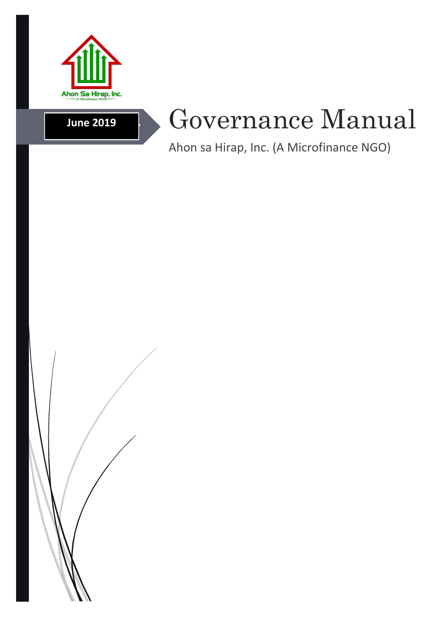

# **June 2019**

# Governance Manual

Ahon sa Hirap, Inc. (A Microfinance NGO)

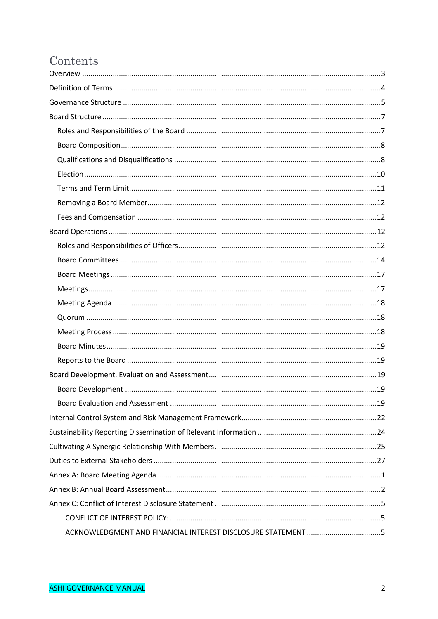# Contents

| ACKNOWLEDGMENT AND FINANCIAL INTEREST DISCLOSURE STATEMENT 5 |  |  |  |  |  |  |
|--------------------------------------------------------------|--|--|--|--|--|--|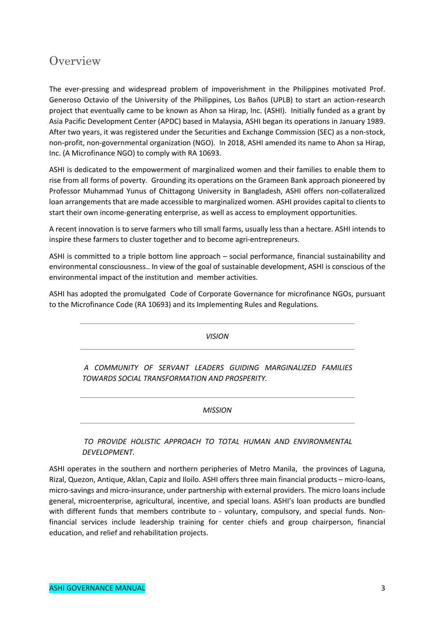# **Overview**

The ever-pressing and widespread problem of impoverishment in the Philippines motivated Prof. Generoso Octavio of the University of the Philippines, Los Baños (UPLB) to start an action-research project that eventually came to be known as Ahon sa Hirap, Inc. (ASHI). Initially funded as a grant by Asia Pacific Development Center (APDC) based in Malaysia, ASHI began its operations in January 1989. After two years, it was registered under the Securities and Exchange Commission (SEC) as a non-stock, non-profit, non-governmental organization (NGO). In 2018, ASHI amended its name to Ahon sa Hirap, Inc. (A Microfinance NGO) to comply with RA 10693.

ASHI is dedicated to the empowerment of marginalized women and their families to enable them to rise from all forms of poverty. Grounding its operations on the Grameen Bank approach pioneered by Professor Muhammad Yunus of Chittagong University in Bangladesh, ASHI offers non-collateralized loan arrangements that are made accessible to marginalized women. ASHI provides capital to clients to start their own income-generating enterprise, as well as access to employment opportunities.

A recent innovation is to serve farmers who till small farms, usually less than a hectare. ASHI intends to inspire these farmers to cluster together and to become agri-entrepreneurs.

ASHI is committed to a triple bottom line approach – social performance, financial sustainability and environmental consciousness.. In view of the goal of sustainable development, ASHI is conscious of the environmental impact of the institution and member activities.

ASHI has adopted the promulgated Code of Corporate Governance for microfinance NGOs, pursuant to the Microfinance Code (RA 10693) and its Implementing Rules and Regulations.

*VISION*

*A COMMUNITY OF SERVANT LEADERS GUIDING MARGINALIZED FAMILIES TOWARDS SOCIAL TRANSFORMATION AND PROSPERITY.*

*MISSION*

*TO PROVIDE HOLISTIC APPROACH TO TOTAL HUMAN AND ENVIRONMENTAL DEVELOPMENT.*

ASHI operates in the southern and northern peripheries of Metro Manila, the provinces of Laguna, Rizal, Quezon, Antique, Aklan, Capiz and Iloilo. ASHI offers three main financial products – micro-loans, micro-savings and micro-insurance, under partnership with external providers. The micro loans include general, microenterprise, agricultural, incentive, and special loans. ASHI's loan products are bundled with different funds that members contribute to - voluntary, compulsory, and special funds. Nonfinancial services include leadership training for center chiefs and group chairperson, financial education, and relief and rehabilitation projects.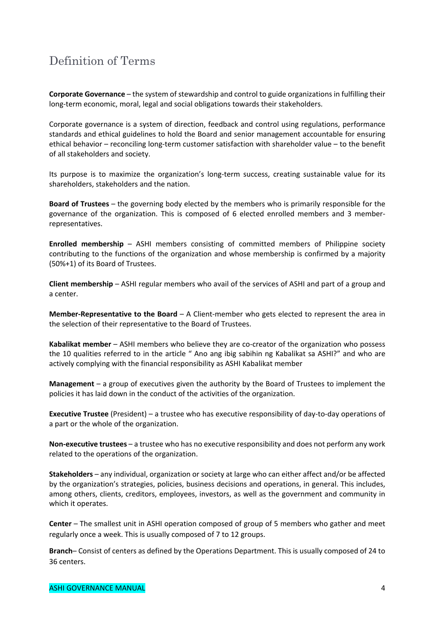# Definition of Terms

**Corporate Governance** – the system of stewardship and control to guide organizations in fulfilling their long-term economic, moral, legal and social obligations towards their stakeholders.

Corporate governance is a system of direction, feedback and control using regulations, performance standards and ethical guidelines to hold the Board and senior management accountable for ensuring ethical behavior – reconciling long-term customer satisfaction with shareholder value – to the benefit of all stakeholders and society.

Its purpose is to maximize the organization's long-term success, creating sustainable value for its shareholders, stakeholders and the nation.

**Board of Trustees** – the governing body elected by the members who is primarily responsible for the governance of the organization. This is composed of 6 elected enrolled members and 3 memberrepresentatives.

**Enrolled membership** – ASHI members consisting of committed members of Philippine society contributing to the functions of the organization and whose membership is confirmed by a majority (50%+1) of its Board of Trustees.

**Client membership** – ASHI regular members who avail of the services of ASHI and part of a group and a center.

**Member-Representative to the Board** – A Client-member who gets elected to represent the area in the selection of their representative to the Board of Trustees.

**Kabalikat member** – ASHI members who believe they are co-creator of the organization who possess the 10 qualities referred to in the article " Ano ang ibig sabihin ng Kabalikat sa ASHI?" and who are actively complying with the financial responsibility as ASHI Kabalikat member

**Management** – a group of executives given the authority by the Board of Trustees to implement the policies it has laid down in the conduct of the activities of the organization.

**Executive Trustee** (President) – a trustee who has executive responsibility of day-to-day operations of a part or the whole of the organization.

**Non-executive trustees** – a trustee who has no executive responsibility and does not perform any work related to the operations of the organization.

**Stakeholders** – any individual, organization or society at large who can either affect and/or be affected by the organization's strategies, policies, business decisions and operations, in general. This includes, among others, clients, creditors, employees, investors, as well as the government and community in which it operates.

**Center** – The smallest unit in ASHI operation composed of group of 5 members who gather and meet regularly once a week. This is usually composed of 7 to 12 groups.

**Branch**– Consist of centers as defined by the Operations Department. This is usually composed of 24 to 36 centers.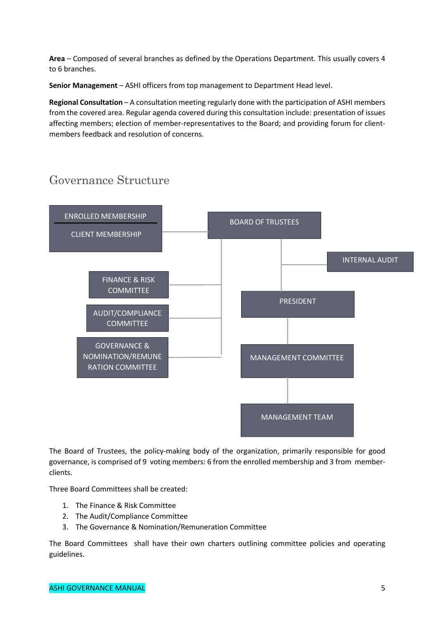**Area** – Composed of several branches as defined by the Operations Department. This usually covers 4 to 6 branches.

**Senior Management** – ASHI officers from top management to Department Head level.

**Regional Consultation** – A consultation meeting regularly done with the participation of ASHI members from the covered area. Regular agenda covered during this consultation include: presentation of issues affecting members; election of member-representatives to the Board; and providing forum for clientmembers feedback and resolution of concerns.

# Governance Structure



The Board of Trustees, the policy-making body of the organization, primarily responsible for good governance, is comprised of 9 voting members: 6 from the enrolled membership and 3 from memberclients.

Three Board Committees shall be created:

- 1. The Finance & Risk Committee
- 2. The Audit/Compliance Committee
- 3. The Governance & Nomination/Remuneration Committee

The Board Committees shall have their own charters outlining committee policies and operating guidelines.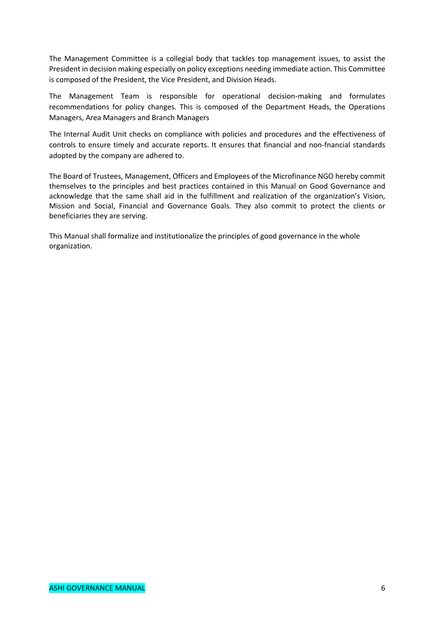The Management Committee is a collegial body that tackles top management issues, to assist the President in decision making especially on policy exceptions needing immediate action. This Committee is composed of the President, the Vice President, and Division Heads.

The Management Team is responsible for operational decision-making and formulates recommendations for policy changes. This is composed of the Department Heads, the Operations Managers, Area Managers and Branch Managers

The Internal Audit Unit checks on compliance with policies and procedures and the effectiveness of controls to ensure timely and accurate reports. It ensures that financial and non-fnancial standards adopted by the company are adhered to.

The Board of Trustees, Management, Officers and Employees of the Microfinance NGO hereby commit themselves to the principles and best practices contained in this Manual on Good Governance and acknowledge that the same shall aid in the fulfillment and realization of the organization's Vision, Mission and Social, Financial and Governance Goals. They also commit to protect the clients or beneficiaries they are serving.

This Manual shall formalize and institutionalize the principles of good governance in the whole organization.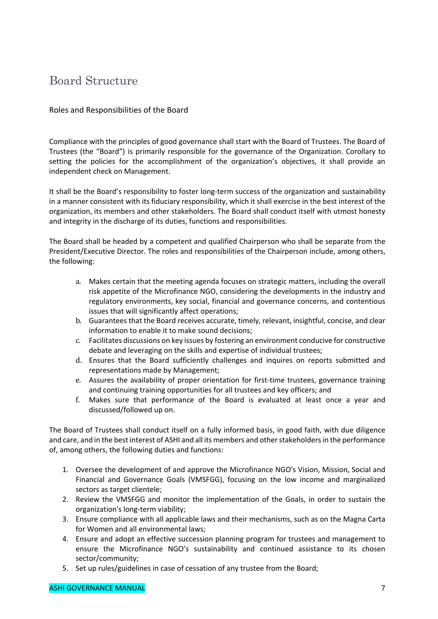# Board Structure

### Roles and Responsibilities of the Board

Compliance with the principles of good governance shall start with the Board of Trustees. The Board of Trustees (the "Board") is primarily responsible for the governance of the Organization. Corollary to setting the policies for the accomplishment of the organization's objectives, it shall provide an independent check on Management.

It shall be the Board's responsibility to foster long-term success of the organization and sustainability in a manner consistent with its fiduciary responsibility, which it shall exercise in the best interest of the organization, its members and other stakeholders. The Board shall conduct itself with utmost honesty and integrity in the discharge of its duties, functions and responsibilities.

The Board shall be headed by a competent and qualified Chairperson who shall be separate from the President/Executive Director. The roles and responsibilities of the Chairperson include, among others, the following:

- a. Makes certain that the meeting agenda focuses on strategic matters, including the overall risk appetite of the Microfinance NGO, considering the developments in the industry and regulatory environments, key social, financial and governance concerns, and contentious issues that will significantly affect operations;
- b. Guarantees that the Board receives accurate, timely, relevant, insightful, concise, and clear information to enable it to make sound decisions;
- c. Facilitates discussions on key issues by fostering an environment conducive for constructive debate and leveraging on the skills and expertise of individual trustees;
- d. Ensures that the Board sufficiently challenges and inquires on reports submitted and representations made by Management;
- e. Assures the availability of proper orientation for first-time trustees, governance training and continuing training opportunities for all trustees and key officers; and
- f. Makes sure that performance of the Board is evaluated at least once a year and discussed/followed up on.

The Board of Trustees shall conduct itself on a fully informed basis, in good faith, with due diligence and care, and in the best interest of ASHI and all its members and other stakeholders in the performance of, among others, the following duties and functions:

- 1. Oversee the development of and approve the Microfinance NGO's Vision, Mission, Social and Financial and Governance Goals (VMSFGG), focusing on the low income and marginalized sectors as target clientele;
- 2. Review the VMSFGG and monitor the implementation of the Goals, in order to sustain the organization's long-term viability;
- 3. Ensure compliance with all applicable laws and their mechanisms, such as on the Magna Carta for Women and all environmental laws;
- 4. Ensure and adopt an effective succession planning program for trustees and management to ensure the Microfinance NGO's sustainability and continued assistance to its chosen sector/community;
- 5. Set up rules/guidelines in case of cessation of any trustee from the Board;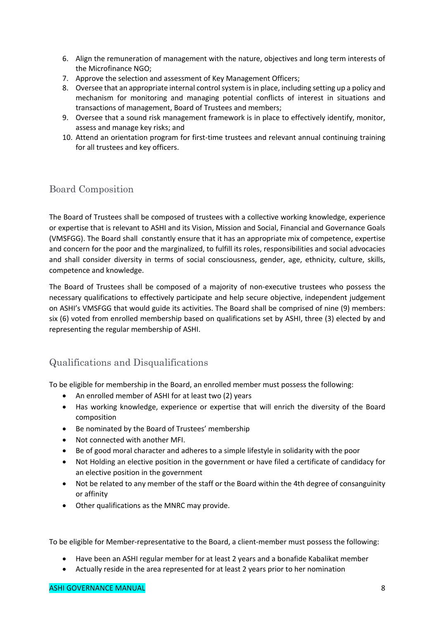- 6. Align the remuneration of management with the nature, objectives and long term interests of the Microfinance NGO;
- 7. Approve the selection and assessment of Key Management Officers;
- 8. Oversee that an appropriate internal control system is in place, including setting up a policy and mechanism for monitoring and managing potential conflicts of interest in situations and transactions of management, Board of Trustees and members;
- 9. Oversee that a sound risk management framework is in place to effectively identify, monitor, assess and manage key risks; and
- 10. Attend an orientation program for first-time trustees and relevant annual continuing training for all trustees and key officers.

# Board Composition

The Board of Trustees shall be composed of trustees with a collective working knowledge, experience or expertise that is relevant to ASHI and its Vision, Mission and Social, Financial and Governance Goals (VMSFGG). The Board shall constantly ensure that it has an appropriate mix of competence, expertise and concern for the poor and the marginalized, to fulfill its roles, responsibilities and social advocacies and shall consider diversity in terms of social consciousness, gender, age, ethnicity, culture, skills, competence and knowledge.

The Board of Trustees shall be composed of a majority of non-executive trustees who possess the necessary qualifications to effectively participate and help secure objective, independent judgement on ASHI's VMSFGG that would guide its activities. The Board shall be comprised of nine (9) members: six (6) voted from enrolled membership based on qualifications set by ASHI, three (3) elected by and representing the regular membership of ASHI.

# Qualifications and Disqualifications

To be eligible for membership in the Board, an enrolled member must possess the following:

- An enrolled member of ASHI for at least two (2) years
- Has working knowledge, experience or expertise that will enrich the diversity of the Board composition
- Be nominated by the Board of Trustees' membership
- Not connected with another MFI.
- Be of good moral character and adheres to a simple lifestyle in solidarity with the poor
- Not Holding an elective position in the government or have filed a certificate of candidacy for an elective position in the government
- Not be related to any member of the staff or the Board within the 4th degree of consanguinity or affinity
- Other qualifications as the MNRC may provide.

To be eligible for Member-representative to the Board, a client-member must possess the following:

- Have been an ASHI regular member for at least 2 years and a bonafide Kabalikat member
- Actually reside in the area represented for at least 2 years prior to her nomination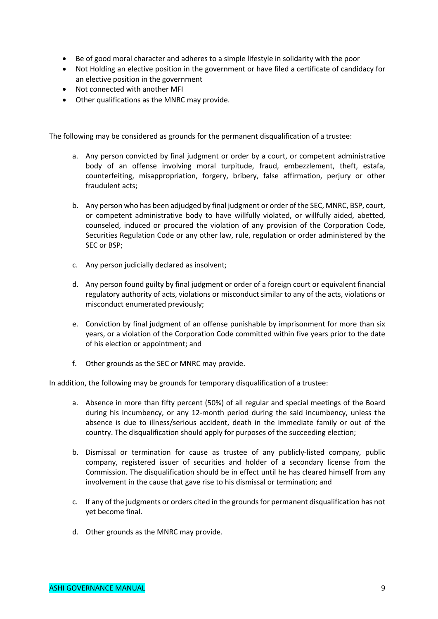- Be of good moral character and adheres to a simple lifestyle in solidarity with the poor
- Not Holding an elective position in the government or have filed a certificate of candidacy for an elective position in the government
- Not connected with another MFI
- Other qualifications as the MNRC may provide.

The following may be considered as grounds for the permanent disqualification of a trustee:

- a. Any person convicted by final judgment or order by a court, or competent administrative body of an offense involving moral turpitude, fraud, embezzlement, theft, estafa, counterfeiting, misappropriation, forgery, bribery, false affirmation, perjury or other fraudulent acts;
- b. Any person who has been adjudged by final judgment or order of the SEC, MNRC, BSP, court, or competent administrative body to have willfully violated, or willfully aided, abetted, counseled, induced or procured the violation of any provision of the Corporation Code, Securities Regulation Code or any other law, rule, regulation or order administered by the SEC or BSP;
- c. Any person judicially declared as insolvent;
- d. Any person found guilty by final judgment or order of a foreign court or equivalent financial regulatory authority of acts, violations or misconduct similar to any of the acts, violations or misconduct enumerated previously;
- e. Conviction by final judgment of an offense punishable by imprisonment for more than six years, or a violation of the Corporation Code committed within five years prior to the date of his election or appointment; and
- f. Other grounds as the SEC or MNRC may provide.

In addition, the following may be grounds for temporary disqualification of a trustee:

- a. Absence in more than fifty percent (50%) of all regular and special meetings of the Board during his incumbency, or any 12-month period during the said incumbency, unless the absence is due to illness/serious accident, death in the immediate family or out of the country. The disqualification should apply for purposes of the succeeding election;
- b. Dismissal or termination for cause as trustee of any publicly-listed company, public company, registered issuer of securities and holder of a secondary license from the Commission. The disqualification should be in effect until he has cleared himself from any involvement in the cause that gave rise to his dismissal or termination; and
- c. If any of the judgments or orders cited in the grounds for permanent disqualification has not yet become final.
- d. Other grounds as the MNRC may provide.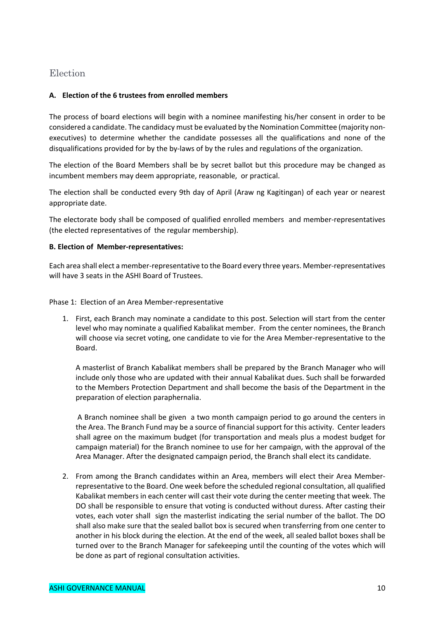### Election

#### **A. Election of the 6 trustees from enrolled members**

The process of board elections will begin with a nominee manifesting his/her consent in order to be considered a candidate. The candidacy must be evaluated by the Nomination Committee (majority nonexecutives) to determine whether the candidate possesses all the qualifications and none of the disqualifications provided for by the by-laws of by the rules and regulations of the organization.

The election of the Board Members shall be by secret ballot but this procedure may be changed as incumbent members may deem appropriate, reasonable, or practical.

The election shall be conducted every 9th day of April (Araw ng Kagitingan) of each year or nearest appropriate date.

The electorate body shall be composed of qualified enrolled members and member-representatives (the elected representatives of the regular membership).

#### **B. Election of Member-representatives:**

Each area shall elect a member-representative to the Board every three years. Member-representatives will have 3 seats in the ASHI Board of Trustees.

Phase 1: Election of an Area Member-representative

1. First, each Branch may nominate a candidate to this post. Selection will start from the center level who may nominate a qualified Kabalikat member. From the center nominees, the Branch will choose via secret voting, one candidate to vie for the Area Member-representative to the Board.

A masterlist of Branch Kabalikat members shall be prepared by the Branch Manager who will include only those who are updated with their annual Kabalikat dues. Such shall be forwarded to the Members Protection Department and shall become the basis of the Department in the preparation of election paraphernalia.

A Branch nominee shall be given a two month campaign period to go around the centers in the Area. The Branch Fund may be a source of financial support for this activity. Center leaders shall agree on the maximum budget (for transportation and meals plus a modest budget for campaign material) for the Branch nominee to use for her campaign, with the approval of the Area Manager. After the designated campaign period, the Branch shall elect its candidate.

2. From among the Branch candidates within an Area, members will elect their Area Memberrepresentative to the Board. One week before the scheduled regional consultation, all qualified Kabalikat members in each center will cast their vote during the center meeting that week. The DO shall be responsible to ensure that voting is conducted without duress. After casting their votes, each voter shall sign the masterlist indicating the serial number of the ballot. The DO shall also make sure that the sealed ballot box is secured when transferring from one center to another in his block during the election. At the end of the week, all sealed ballot boxes shall be turned over to the Branch Manager for safekeeping until the counting of the votes which will be done as part of regional consultation activities.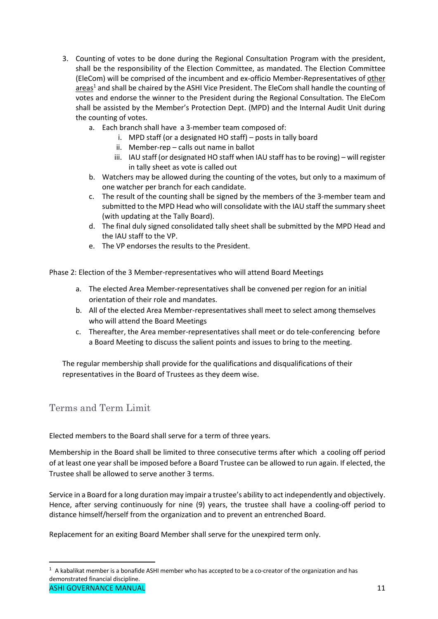- 3. Counting of votes to be done during the Regional Consultation Program with the president, shall be the responsibility of the Election Committee, as mandated. The Election Committee (EleCom) will be comprised of the incumbent and ex-officio Member-Representatives of other areas<sup>1</sup> and shall be chaired by the ASHI Vice President. The EleCom shall handle the counting of votes and endorse the winner to the President during the Regional Consultation. The EleCom shall be assisted by the Member's Protection Dept. (MPD) and the Internal Audit Unit during the counting of votes.
	- a. Each branch shall have a 3-member team composed of:
		- i. MPD staff (or a designated HO staff) posts in tally board
		- ii. Member-rep calls out name in ballot
		- iii. IAU staff (or designated HO staff when IAU staff has to be roving) will register in tally sheet as vote is called out
	- b. Watchers may be allowed during the counting of the votes, but only to a maximum of one watcher per branch for each candidate.
	- c. The result of the counting shall be signed by the members of the 3-member team and submitted to the MPD Head who will consolidate with the IAU staff the summary sheet (with updating at the Tally Board).
	- d. The final duly signed consolidated tally sheet shall be submitted by the MPD Head and the IAU staff to the VP.
	- e. The VP endorses the results to the President.

Phase 2: Election of the 3 Member-representatives who will attend Board Meetings

- a. The elected Area Member-representatives shall be convened per region for an initial orientation of their role and mandates.
- b. All of the elected Area Member-representatives shall meet to select among themselves who will attend the Board Meetings
- c. Thereafter, the Area member-representatives shall meet or do tele-conferencing before a Board Meeting to discuss the salient points and issues to bring to the meeting.

The regular membership shall provide for the qualifications and disqualifications of their representatives in the Board of Trustees as they deem wise.

# Terms and Term Limit

Elected members to the Board shall serve for a term of three years.

Membership in the Board shall be limited to three consecutive terms after which a cooling off period of at least one year shall be imposed before a Board Trustee can be allowed to run again. If elected, the Trustee shall be allowed to serve another 3 terms.

Service in a Board for a long duration may impair a trustee's ability to act independently and objectively. Hence, after serving continuously for nine (9) years, the trustee shall have a cooling-off period to distance himself/herself from the organization and to prevent an entrenched Board.

Replacement for an exiting Board Member shall serve for the unexpired term only.

ASHI GOVERNANCE MANUAL 2008 AND 2009 11 AND 2009 11 AND 2009 11 AND 2009 11 AND 2009 11 AND 2009 11 AND 2009 1  $\overline{1}$  $1$  A kabalikat member is a bonafide ASHI member who has accepted to be a co-creator of the organization and has demonstrated financial discipline.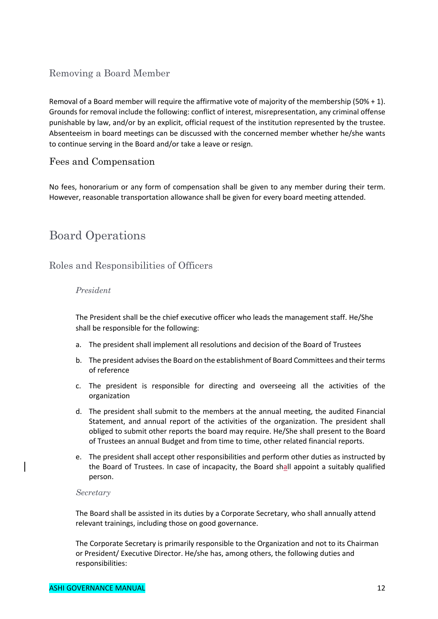# Removing a Board Member

Removal of a Board member will require the affirmative vote of majority of the membership (50% + 1). Grounds for removal include the following: conflict of interest, misrepresentation, any criminal offense punishable by law, and/or by an explicit, official request of the institution represented by the trustee. Absenteeism in board meetings can be discussed with the concerned member whether he/she wants to continue serving in the Board and/or take a leave or resign.

### Fees and Compensation

No fees, honorarium or any form of compensation shall be given to any member during their term. However, reasonable transportation allowance shall be given for every board meeting attended.

# Board Operations

# Roles and Responsibilities of Officers

#### *President*

The President shall be the chief executive officer who leads the management staff. He/She shall be responsible for the following:

- a. The president shall implement all resolutions and decision of the Board of Trustees
- b. The president advises the Board on the establishment of Board Committees and their terms of reference
- c. The president is responsible for directing and overseeing all the activities of the organization
- d. The president shall submit to the members at the annual meeting, the audited Financial Statement, and annual report of the activities of the organization. The president shall obliged to submit other reports the board may require. He/She shall present to the Board of Trustees an annual Budget and from time to time, other related financial reports.
- e. The president shall accept other responsibilities and perform other duties as instructed by the Board of Trustees. In case of incapacity, the Board shall appoint a suitably qualified person.

#### *Secretary*

The Board shall be assisted in its duties by a Corporate Secretary, who shall annually attend relevant trainings, including those on good governance.

The Corporate Secretary is primarily responsible to the Organization and not to its Chairman or President/ Executive Director. He/she has, among others, the following duties and responsibilities: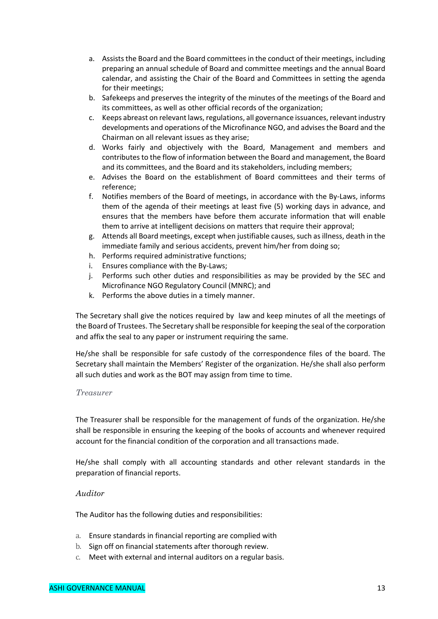- a. Assists the Board and the Board committees in the conduct of their meetings, including preparing an annual schedule of Board and committee meetings and the annual Board calendar, and assisting the Chair of the Board and Committees in setting the agenda for their meetings;
- b. Safekeeps and preserves the integrity of the minutes of the meetings of the Board and its committees, as well as other official records of the organization;
- c. Keeps abreast on relevant laws, regulations, all governance issuances, relevant industry developments and operations of the Microfinance NGO, and advises the Board and the Chairman on all relevant issues as they arise;
- d. Works fairly and objectively with the Board, Management and members and contributes to the flow of information between the Board and management, the Board and its committees, and the Board and its stakeholders, including members;
- e. Advises the Board on the establishment of Board committees and their terms of reference;
- f. Notifies members of the Board of meetings, in accordance with the By-Laws, informs them of the agenda of their meetings at least five (5) working days in advance, and ensures that the members have before them accurate information that will enable them to arrive at intelligent decisions on matters that require their approval;
- g. Attends all Board meetings, except when justifiable causes, such as illness, death in the immediate family and serious accidents, prevent him/her from doing so;
- h. Performs required administrative functions;
- i. Ensures compliance with the By-Laws;
- j. Performs such other duties and responsibilities as may be provided by the SEC and Microfinance NGO Regulatory Council (MNRC); and
- k. Performs the above duties in a timely manner.

The Secretary shall give the notices required by law and keep minutes of all the meetings of the Board of Trustees. The Secretary shall be responsible for keeping the seal of the corporation and affix the seal to any paper or instrument requiring the same.

He/she shall be responsible for safe custody of the correspondence files of the board. The Secretary shall maintain the Members' Register of the organization. He/she shall also perform all such duties and work as the BOT may assign from time to time.

#### *Treasurer*

The Treasurer shall be responsible for the management of funds of the organization. He/she shall be responsible in ensuring the keeping of the books of accounts and whenever required account for the financial condition of the corporation and all transactions made.

He/she shall comply with all accounting standards and other relevant standards in the preparation of financial reports.

#### *Auditor*

The Auditor has the following duties and responsibilities:

- a. Ensure standards in financial reporting are complied with
- b. Sign off on financial statements after thorough review.
- c. Meet with external and internal auditors on a regular basis.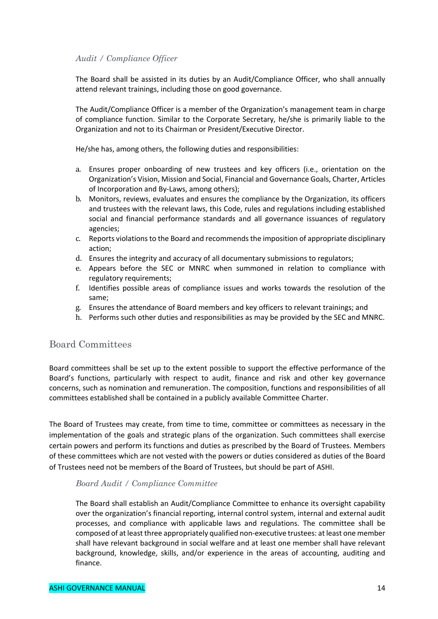#### *Audit / Compliance Officer*

The Board shall be assisted in its duties by an Audit/Compliance Officer, who shall annually attend relevant trainings, including those on good governance.

The Audit/Compliance Officer is a member of the Organization's management team in charge of compliance function. Similar to the Corporate Secretary, he/she is primarily liable to the Organization and not to its Chairman or President/Executive Director.

He/she has, among others, the following duties and responsibilities:

- a. Ensures proper onboarding of new trustees and key officers (i.e., orientation on the Organization's Vision, Mission and Social, Financial and Governance Goals, Charter, Articles of Incorporation and By-Laws, among others);
- b. Monitors, reviews, evaluates and ensures the compliance by the Organization, its officers and trustees with the relevant laws, this Code, rules and regulations including established social and financial performance standards and all governance issuances of regulatory agencies;
- c. Reports violations to the Board and recommends the imposition of appropriate disciplinary action;
- d. Ensures the integrity and accuracy of all documentary submissions to regulators;
- e. Appears before the SEC or MNRC when summoned in relation to compliance with regulatory requirements;
- f. Identifies possible areas of compliance issues and works towards the resolution of the same;
- g. Ensures the attendance of Board members and key officers to relevant trainings; and
- h. Performs such other duties and responsibilities as may be provided by the SEC and MNRC.

# Board Committees

Board committees shall be set up to the extent possible to support the effective performance of the Board's functions, particularly with respect to audit, finance and risk and other key governance concerns, such as nomination and remuneration. The composition, functions and responsibilities of all committees established shall be contained in a publicly available Committee Charter.

The Board of Trustees may create, from time to time, committee or committees as necessary in the implementation of the goals and strategic plans of the organization. Such committees shall exercise certain powers and perform its functions and duties as prescribed by the Board of Trustees. Members of these committees which are not vested with the powers or duties considered as duties of the Board of Trustees need not be members of the Board of Trustees, but should be part of ASHI.

#### *Board Audit / Compliance Committee*

The Board shall establish an Audit/Compliance Committee to enhance its oversight capability over the organization's financial reporting, internal control system, internal and external audit processes, and compliance with applicable laws and regulations. The committee shall be composed of at least three appropriately qualified non-executive trustees: at least one member shall have relevant background in social welfare and at least one member shall have relevant background, knowledge, skills, and/or experience in the areas of accounting, auditing and finance.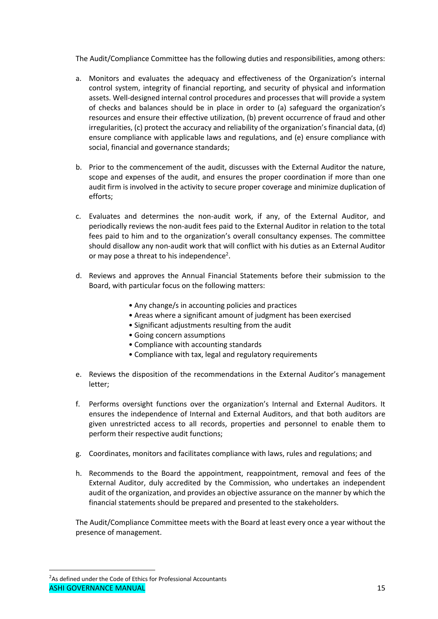The Audit/Compliance Committee has the following duties and responsibilities, among others:

- a. Monitors and evaluates the adequacy and effectiveness of the Organization's internal control system, integrity of financial reporting, and security of physical and information assets. Well-designed internal control procedures and processes that will provide a system of checks and balances should be in place in order to (a) safeguard the organization's resources and ensure their effective utilization, (b) prevent occurrence of fraud and other irregularities, (c) protect the accuracy and reliability of the organization's financial data, (d) ensure compliance with applicable laws and regulations, and (e) ensure compliance with social, financial and governance standards;
- b. Prior to the commencement of the audit, discusses with the External Auditor the nature, scope and expenses of the audit, and ensures the proper coordination if more than one audit firm is involved in the activity to secure proper coverage and minimize duplication of efforts;
- c. Evaluates and determines the non-audit work, if any, of the External Auditor, and periodically reviews the non-audit fees paid to the External Auditor in relation to the total fees paid to him and to the organization's overall consultancy expenses. The committee should disallow any non-audit work that will conflict with his duties as an External Auditor or may pose a threat to his independence<sup>2</sup>.
- d. Reviews and approves the Annual Financial Statements before their submission to the Board, with particular focus on the following matters:
	- Any change/s in accounting policies and practices
	- Areas where a significant amount of judgment has been exercised
	- Significant adjustments resulting from the audit
	- Going concern assumptions
	- Compliance with accounting standards
	- Compliance with tax, legal and regulatory requirements
- e. Reviews the disposition of the recommendations in the External Auditor's management letter;
- f. Performs oversight functions over the organization's Internal and External Auditors. It ensures the independence of Internal and External Auditors, and that both auditors are given unrestricted access to all records, properties and personnel to enable them to perform their respective audit functions;
- g. Coordinates, monitors and facilitates compliance with laws, rules and regulations; and
- h. Recommends to the Board the appointment, reappointment, removal and fees of the External Auditor, duly accredited by the Commission, who undertakes an independent audit of the organization, and provides an objective assurance on the manner by which the financial statements should be prepared and presented to the stakeholders.

The Audit/Compliance Committee meets with the Board at least every once a year without the presence of management.

ASHI GOVERNANCE MANUAL 25 ANNO 2022 - 2022 - 2032 - 2043 - 2044 15 ANN 2032 - 2044 15 ANN 2032 - 2044 15 ANN 2  $\overline{2}$ <sup>2</sup>As defined under the Code of Ethics for Professional Accountants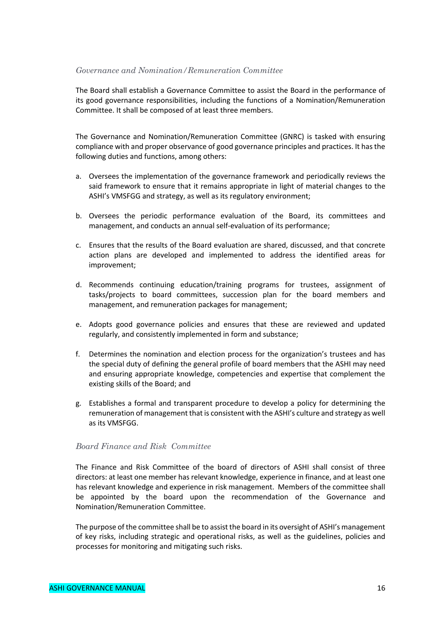#### *Governance and Nomination/Remuneration Committee*

The Board shall establish a Governance Committee to assist the Board in the performance of its good governance responsibilities, including the functions of a Nomination/Remuneration Committee. It shall be composed of at least three members.

The Governance and Nomination/Remuneration Committee (GNRC) is tasked with ensuring compliance with and proper observance of good governance principles and practices. It has the following duties and functions, among others:

- a. Oversees the implementation of the governance framework and periodically reviews the said framework to ensure that it remains appropriate in light of material changes to the ASHI's VMSFGG and strategy, as well as its regulatory environment;
- b. Oversees the periodic performance evaluation of the Board, its committees and management, and conducts an annual self-evaluation of its performance;
- c. Ensures that the results of the Board evaluation are shared, discussed, and that concrete action plans are developed and implemented to address the identified areas for improvement;
- d. Recommends continuing education/training programs for trustees, assignment of tasks/projects to board committees, succession plan for the board members and management, and remuneration packages for management;
- e. Adopts good governance policies and ensures that these are reviewed and updated regularly, and consistently implemented in form and substance;
- f. Determines the nomination and election process for the organization's trustees and has the special duty of defining the general profile of board members that the ASHI may need and ensuring appropriate knowledge, competencies and expertise that complement the existing skills of the Board; and
- g. Establishes a formal and transparent procedure to develop a policy for determining the remuneration of management that is consistent with the ASHI's culture and strategy as well as its VMSFGG.

#### *Board Finance and Risk Committee*

The Finance and Risk Committee of the board of directors of ASHI shall consist of three directors: at least one member has relevant knowledge, experience in finance, and at least one has relevant knowledge and experience in risk management. Members of the committee shall be appointed by the board upon the recommendation of the Governance and Nomination/Remuneration Committee.

The purpose of the committee shall be to assist the board in its oversight of ASHI's management of key risks, including strategic and operational risks, as well as the guidelines, policies and processes for monitoring and mitigating such risks.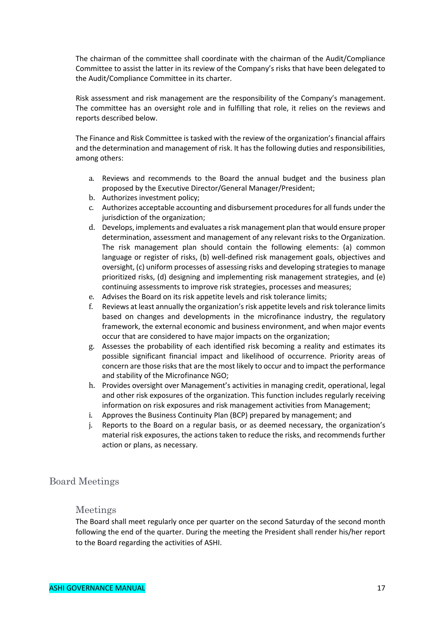The chairman of the committee shall coordinate with the chairman of the Audit/Compliance Committee to assist the latter in its review of the Company's risks that have been delegated to the Audit/Compliance Committee in its charter.

Risk assessment and risk management are the responsibility of the Company's management. The committee has an oversight role and in fulfilling that role, it relies on the reviews and reports described below.

The Finance and Risk Committee is tasked with the review of the organization's financial affairs and the determination and management of risk. It has the following duties and responsibilities, among others:

- a. Reviews and recommends to the Board the annual budget and the business plan proposed by the Executive Director/General Manager/President;
- b. Authorizes investment policy;
- c. Authorizes acceptable accounting and disbursement procedures for all funds under the jurisdiction of the organization;
- d. Develops, implements and evaluates a risk management plan that would ensure proper determination, assessment and management of any relevant risks to the Organization. The risk management plan should contain the following elements: (a) common language or register of risks, (b) well-defined risk management goals, objectives and oversight, (c) uniform processes of assessing risks and developing strategies to manage prioritized risks, (d) designing and implementing risk management strategies, and (e) continuing assessments to improve risk strategies, processes and measures;
- e. Advises the Board on its risk appetite levels and risk tolerance limits;
- f. Reviews at least annually the organization's risk appetite levels and risk tolerance limits based on changes and developments in the microfinance industry, the regulatory framework, the external economic and business environment, and when major events occur that are considered to have major impacts on the organization;
- g. Assesses the probability of each identified risk becoming a reality and estimates its possible significant financial impact and likelihood of occurrence. Priority areas of concern are those risks that are the most likely to occur and to impact the performance and stability of the Microfinance NGO;
- h. Provides oversight over Management's activities in managing credit, operational, legal and other risk exposures of the organization. This function includes regularly receiving information on risk exposures and risk management activities from Management;
- i. Approves the Business Continuity Plan (BCP) prepared by management; and
- j. Reports to the Board on a regular basis, or as deemed necessary, the organization's material risk exposures, the actions taken to reduce the risks, and recommends further action or plans, as necessary.

### Board Meetings

### Meetings

The Board shall meet regularly once per quarter on the second Saturday of the second month following the end of the quarter. During the meeting the President shall render his/her report to the Board regarding the activities of ASHI.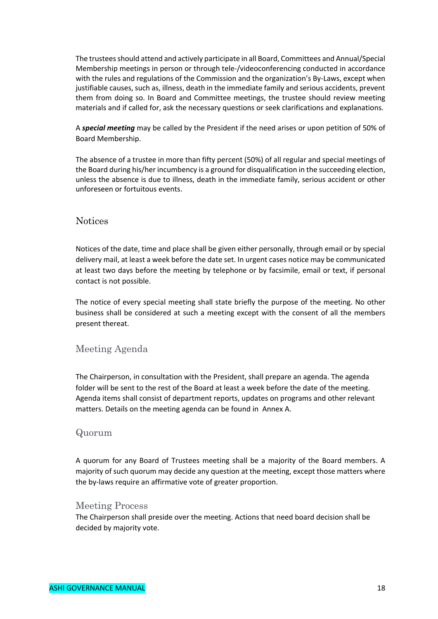The trustees should attend and actively participate in all Board, Committees and Annual/Special Membership meetings in person or through tele-/videoconferencing conducted in accordance with the rules and regulations of the Commission and the organization's By-Laws, except when justifiable causes, such as, illness, death in the immediate family and serious accidents, prevent them from doing so. In Board and Committee meetings, the trustee should review meeting materials and if called for, ask the necessary questions or seek clarifications and explanations.

A *special meeting* may be called by the President if the need arises or upon petition of 50% of Board Membership.

The absence of a trustee in more than fifty percent (50%) of all regular and special meetings of the Board during his/her incumbency is a ground for disqualification in the succeeding election, unless the absence is due to illness, death in the immediate family, serious accident or other unforeseen or fortuitous events.

#### **Notices**

Notices of the date, time and place shall be given either personally, through email or by special delivery mail, at least a week before the date set. In urgent cases notice may be communicated at least two days before the meeting by telephone or by facsimile, email or text, if personal contact is not possible.

The notice of every special meeting shall state briefly the purpose of the meeting. No other business shall be considered at such a meeting except with the consent of all the members present thereat.

### Meeting Agenda

The Chairperson, in consultation with the President, shall prepare an agenda. The agenda folder will be sent to the rest of the Board at least a week before the date of the meeting. Agenda items shall consist of department reports, updates on programs and other relevant matters. Details on the meeting agenda can be found in Annex A.

#### Quorum

A quorum for any Board of Trustees meeting shall be a majority of the Board members. A majority of such quorum may decide any question at the meeting, except those matters where the by-laws require an affirmative vote of greater proportion.

#### Meeting Process

The Chairperson shall preside over the meeting. Actions that need board decision shall be decided by majority vote.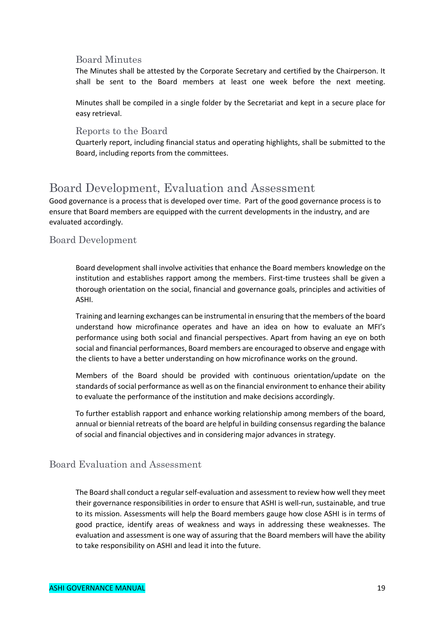### Board Minutes

The Minutes shall be attested by the Corporate Secretary and certified by the Chairperson. It shall be sent to the Board members at least one week before the next meeting.

Minutes shall be compiled in a single folder by the Secretariat and kept in a secure place for easy retrieval.

#### Reports to the Board

Quarterly report, including financial status and operating highlights, shall be submitted to the Board, including reports from the committees.

# Board Development, Evaluation and Assessment

Good governance is a process that is developed over time. Part of the good governance process is to ensure that Board members are equipped with the current developments in the industry, and are evaluated accordingly.

### Board Development

Board development shall involve activities that enhance the Board members knowledge on the institution and establishes rapport among the members. First-time trustees shall be given a thorough orientation on the social, financial and governance goals, principles and activities of ASHI.

Training and learning exchanges can be instrumental in ensuring that the members of the board understand how microfinance operates and have an idea on how to evaluate an MFI's performance using both social and financial perspectives. Apart from having an eye on both social and financial performances, Board members are encouraged to observe and engage with the clients to have a better understanding on how microfinance works on the ground.

Members of the Board should be provided with continuous orientation/update on the standards of social performance as well as on the financial environment to enhance their ability to evaluate the performance of the institution and make decisions accordingly.

To further establish rapport and enhance working relationship among members of the board, annual or biennial retreats of the board are helpful in building consensus regarding the balance of social and financial objectives and in considering major advances in strategy.

### Board Evaluation and Assessment

The Board shall conduct a regular self-evaluation and assessment to review how well they meet their governance responsibilities in order to ensure that ASHI is well-run, sustainable, and true to its mission. Assessments will help the Board members gauge how close ASHI is in terms of good practice, identify areas of weakness and ways in addressing these weaknesses. The evaluation and assessment is one way of assuring that the Board members will have the ability to take responsibility on ASHI and lead it into the future.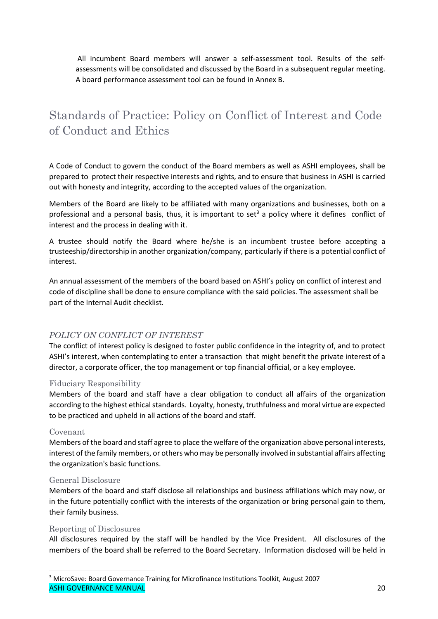All incumbent Board members will answer a self-assessment tool. Results of the selfassessments will be consolidated and discussed by the Board in a subsequent regular meeting. A board performance assessment tool can be found in Annex B.

# Standards of Practice: Policy on Conflict of Interest and Code of Conduct and Ethics

A Code of Conduct to govern the conduct of the Board members as well as ASHI employees, shall be prepared to protect their respective interests and rights, and to ensure that business in ASHI is carried out with honesty and integrity, according to the accepted values of the organization.

Members of the Board are likely to be affiliated with many organizations and businesses, both on a professional and a personal basis, thus, it is important to set<sup>3</sup> a policy where it defines conflict of interest and the process in dealing with it.

A trustee should notify the Board where he/she is an incumbent trustee before accepting a trusteeship/directorship in another organization/company, particularly if there is a potential conflict of interest.

An annual assessment of the members of the board based on ASHI's policy on conflict of interest and code of discipline shall be done to ensure compliance with the said policies. The assessment shall be part of the Internal Audit checklist.

### *POLICY ON CONFLICT OF INTEREST*

The conflict of interest policy is designed to foster public confidence in the integrity of, and to protect ASHI's interest, when contemplating to enter a transaction that might benefit the private interest of a director, a corporate officer, the top management or top financial official, or a key employee.

#### Fiduciary Responsibility

Members of the board and staff have a clear obligation to conduct all affairs of the organization according to the highest ethical standards. Loyalty, honesty, truthfulness and moral virtue are expected to be practiced and upheld in all actions of the board and staff.

#### Covenant

Members of the board and staff agree to place the welfare of the organization above personal interests, interest of the family members, or others who may be personally involved in substantial affairs affecting the organization's basic functions.

#### General Disclosure

Members of the board and staff disclose all relationships and business affiliations which may now, or in the future potentially conflict with the interests of the organization or bring personal gain to them, their family business.

#### Reporting of Disclosures

All disclosures required by the staff will be handled by the Vice President. All disclosures of the members of the board shall be referred to the Board Secretary. Information disclosed will be held in

ASHI GOVERNANCE MANUAL 20 3 MicroSave: Board Governance Training for Microfinance Institutions Toolkit, August 2007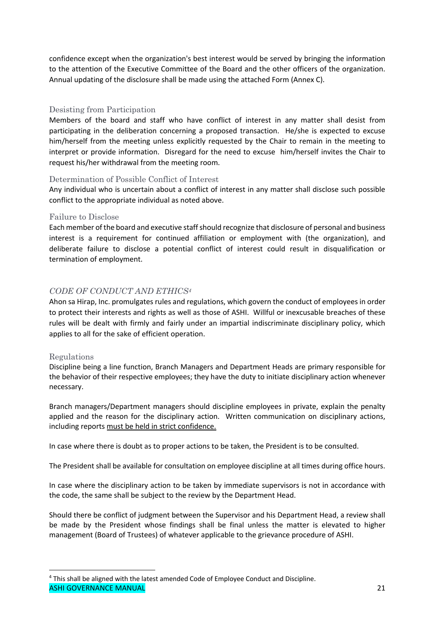confidence except when the organization's best interest would be served by bringing the information to the attention of the Executive Committee of the Board and the other officers of the organization. Annual updating of the disclosure shall be made using the attached Form (Annex C).

#### Desisting from Participation

Members of the board and staff who have conflict of interest in any matter shall desist from participating in the deliberation concerning a proposed transaction. He/she is expected to excuse him/herself from the meeting unless explicitly requested by the Chair to remain in the meeting to interpret or provide information. Disregard for the need to excuse him/herself invites the Chair to request his/her withdrawal from the meeting room.

#### Determination of Possible Conflict of Interest

Any individual who is uncertain about a conflict of interest in any matter shall disclose such possible conflict to the appropriate individual as noted above.

#### Failure to Disclose

Each member of the board and executive staff should recognize that disclosure of personal and business interest is a requirement for continued affiliation or employment with (the organization), and deliberate failure to disclose a potential conflict of interest could result in disqualification or termination of employment.

#### *CODE OF CONDUCT AND ETHICS4*

Ahon sa Hirap, Inc. promulgates rules and regulations, which govern the conduct of employees in order to protect their interests and rights as well as those of ASHI. Willful or inexcusable breaches of these rules will be dealt with firmly and fairly under an impartial indiscriminate disciplinary policy, which applies to all for the sake of efficient operation.

#### Regulations

Discipline being a line function, Branch Managers and Department Heads are primary responsible for the behavior of their respective employees; they have the duty to initiate disciplinary action whenever necessary.

Branch managers/Department managers should discipline employees in private, explain the penalty applied and the reason for the disciplinary action. Written communication on disciplinary actions, including reports must be held in strict confidence.

In case where there is doubt as to proper actions to be taken, the President is to be consulted.

The President shall be available for consultation on employee discipline at all times during office hours.

In case where the disciplinary action to be taken by immediate supervisors is not in accordance with the code, the same shall be subject to the review by the Department Head.

Should there be conflict of judgment between the Supervisor and his Department Head, a review shall be made by the President whose findings shall be final unless the matter is elevated to higher management (Board of Trustees) of whatever applicable to the grievance procedure of ASHI.

ASHI GOVERNANCE MANUAL 21 4 This shall be aligned with the latest amended Code of Employee Conduct and Discipline.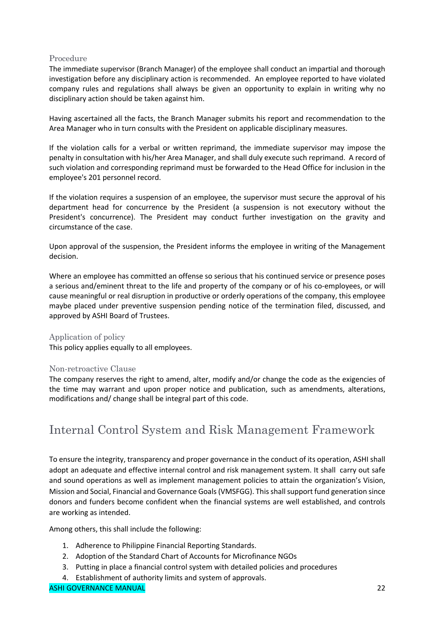#### Procedure

The immediate supervisor (Branch Manager) of the employee shall conduct an impartial and thorough investigation before any disciplinary action is recommended. An employee reported to have violated company rules and regulations shall always be given an opportunity to explain in writing why no disciplinary action should be taken against him.

Having ascertained all the facts, the Branch Manager submits his report and recommendation to the Area Manager who in turn consults with the President on applicable disciplinary measures.

If the violation calls for a verbal or written reprimand, the immediate supervisor may impose the penalty in consultation with his/her Area Manager, and shall duly execute such reprimand. A record of such violation and corresponding reprimand must be forwarded to the Head Office for inclusion in the employee's 201 personnel record.

If the violation requires a suspension of an employee, the supervisor must secure the approval of his department head for concurrence by the President (a suspension is not executory without the President's concurrence). The President may conduct further investigation on the gravity and circumstance of the case.

Upon approval of the suspension, the President informs the employee in writing of the Management decision.

Where an employee has committed an offense so serious that his continued service or presence poses a serious and/eminent threat to the life and property of the company or of his co-employees, or will cause meaningful or real disruption in productive or orderly operations of the company, this employee maybe placed under preventive suspension pending notice of the termination filed, discussed, and approved by ASHI Board of Trustees.

#### Application of policy

This policy applies equally to all employees.

#### Non-retroactive Clause

The company reserves the right to amend, alter, modify and/or change the code as the exigencies of the time may warrant and upon proper notice and publication, such as amendments, alterations, modifications and/ change shall be integral part of this code.

# Internal Control System and Risk Management Framework

To ensure the integrity, transparency and proper governance in the conduct of its operation, ASHI shall adopt an adequate and effective internal control and risk management system. It shall carry out safe and sound operations as well as implement management policies to attain the organization's Vision, Mission and Social, Financial and Governance Goals (VMSFGG). This shall support fund generation since donors and funders become confident when the financial systems are well established, and controls are working as intended.

Among others, this shall include the following:

- 1. Adherence to Philippine Financial Reporting Standards.
- 2. Adoption of the Standard Chart of Accounts for Microfinance NGOs
- 3. Putting in place a financial control system with detailed policies and procedures
- 4. Establishment of authority limits and system of approvals.

#### ASHI GOVERNANCE MANUAL 22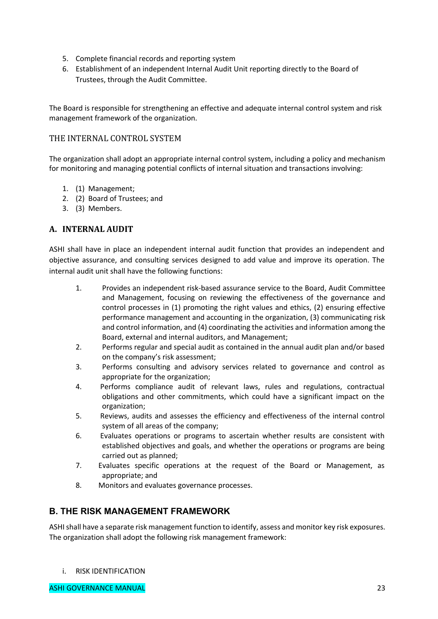- 5. Complete financial records and reporting system
- 6. Establishment of an independent Internal Audit Unit reporting directly to the Board of Trustees, through the Audit Committee.

The Board is responsible for strengthening an effective and adequate internal control system and risk management framework of the organization.

#### THE INTERNAL CONTROL SYSTEM

The organization shall adopt an appropriate internal control system, including a policy and mechanism for monitoring and managing potential conflicts of internal situation and transactions involving:

- 1. (1) Management;
- 2. (2) Board of Trustees; and
- 3. (3) Members.

### **A. INTERNAL AUDIT**

ASHI shall have in place an independent internal audit function that provides an independent and objective assurance, and consulting services designed to add value and improve its operation. The internal audit unit shall have the following functions:

- 1. Provides an independent risk-based assurance service to the Board, Audit Committee and Management, focusing on reviewing the effectiveness of the governance and control processes in (1) promoting the right values and ethics, (2) ensuring effective performance management and accounting in the organization, (3) communicating risk and control information, and (4) coordinating the activities and information among the Board, external and internal auditors, and Management;
- 2. Performs regular and special audit as contained in the annual audit plan and/or based on the company's risk assessment;
- 3. Performs consulting and advisory services related to governance and control as appropriate for the organization;
- 4. Performs compliance audit of relevant laws, rules and regulations, contractual obligations and other commitments, which could have a significant impact on the organization;
- 5. Reviews, audits and assesses the efficiency and effectiveness of the internal control system of all areas of the company;
- 6. Evaluates operations or programs to ascertain whether results are consistent with established objectives and goals, and whether the operations or programs are being carried out as planned;
- 7. Evaluates specific operations at the request of the Board or Management, as appropriate; and
- 8. Monitors and evaluates governance processes.

### **B. THE RISK MANAGEMENT FRAMEWORK**

ASHI shall have a separate risk management function to identify, assess and monitor key risk exposures. The organization shall adopt the following risk management framework:

i. RISK IDENTIFICATION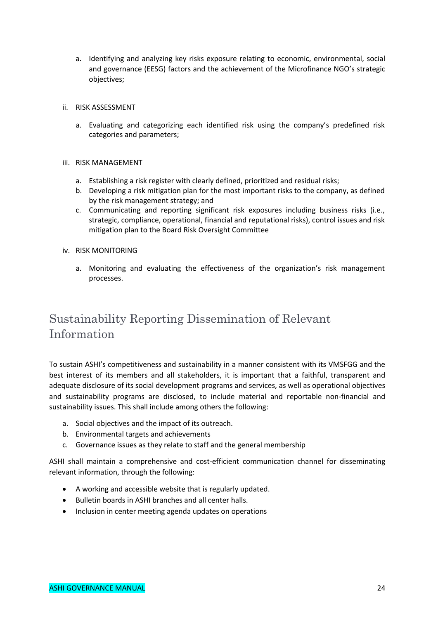- a. Identifying and analyzing key risks exposure relating to economic, environmental, social and governance (EESG) factors and the achievement of the Microfinance NGO's strategic objectives;
- ii. RISK ASSESSMENT
	- a. Evaluating and categorizing each identified risk using the company's predefined risk categories and parameters;
- iii. RISK MANAGEMENT
	- a. Establishing a risk register with clearly defined, prioritized and residual risks;
	- b. Developing a risk mitigation plan for the most important risks to the company, as defined by the risk management strategy; and
	- c. Communicating and reporting significant risk exposures including business risks (i.e., strategic, compliance, operational, financial and reputational risks), control issues and risk mitigation plan to the Board Risk Oversight Committee
- iv. RISK MONITORING
	- a. Monitoring and evaluating the effectiveness of the organization's risk management processes.

# Sustainability Reporting Dissemination of Relevant Information

To sustain ASHI's competitiveness and sustainability in a manner consistent with its VMSFGG and the best interest of its members and all stakeholders, it is important that a faithful, transparent and adequate disclosure of its social development programs and services, as well as operational objectives and sustainability programs are disclosed, to include material and reportable non-financial and sustainability issues. This shall include among others the following:

- a. Social objectives and the impact of its outreach.
- b. Environmental targets and achievements
- c. Governance issues as they relate to staff and the general membership

ASHI shall maintain a comprehensive and cost-efficient communication channel for disseminating relevant information, through the following:

- A working and accessible website that is regularly updated.
- Bulletin boards in ASHI branches and all center halls.
- Inclusion in center meeting agenda updates on operations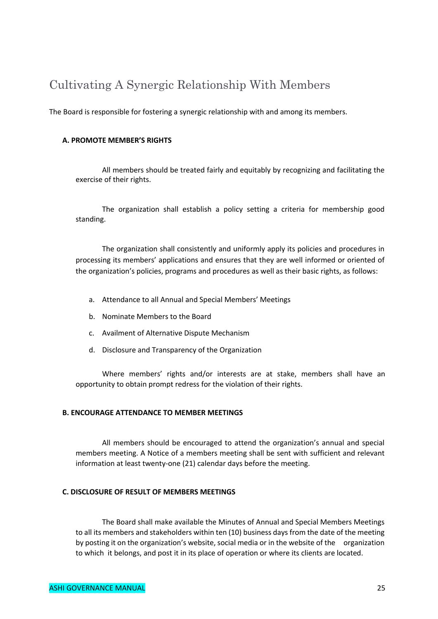# Cultivating A Synergic Relationship With Members

The Board is responsible for fostering a synergic relationship with and among its members.

#### **A. PROMOTE MEMBER'S RIGHTS**

All members should be treated fairly and equitably by recognizing and facilitating the exercise of their rights.

The organization shall establish a policy setting a criteria for membership good standing.

The organization shall consistently and uniformly apply its policies and procedures in processing its members' applications and ensures that they are well informed or oriented of the organization's policies, programs and procedures as well as their basic rights, as follows:

- a. Attendance to all Annual and Special Members' Meetings
- b. Nominate Members to the Board
- c. Availment of Alternative Dispute Mechanism
- d. Disclosure and Transparency of the Organization

Where members' rights and/or interests are at stake, members shall have an opportunity to obtain prompt redress for the violation of their rights.

#### **B. ENCOURAGE ATTENDANCE TO MEMBER MEETINGS**

All members should be encouraged to attend the organization's annual and special members meeting. A Notice of a members meeting shall be sent with sufficient and relevant information at least twenty-one (21) calendar days before the meeting.

#### **C. DISCLOSURE OF RESULT OF MEMBERS MEETINGS**

The Board shall make available the Minutes of Annual and Special Members Meetings to all its members and stakeholders within ten (10) business days from the date of the meeting by posting it on the organization's website, social media or in the website of the organization to which it belongs, and post it in its place of operation or where its clients are located.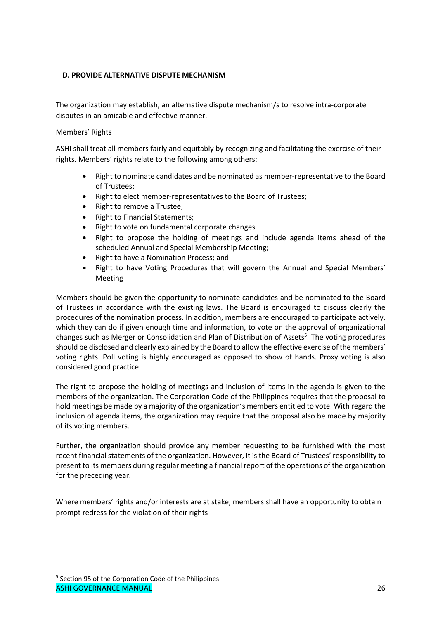#### **D. PROVIDE ALTERNATIVE DISPUTE MECHANISM**

The organization may establish, an alternative dispute mechanism/s to resolve intra-corporate disputes in an amicable and effective manner.

#### Members' Rights

ASHI shall treat all members fairly and equitably by recognizing and facilitating the exercise of their rights. Members' rights relate to the following among others:

- Right to nominate candidates and be nominated as member-representative to the Board of Trustees;
- Right to elect member-representatives to the Board of Trustees;
- Right to remove a Trustee;
- Right to Financial Statements;
- Right to vote on fundamental corporate changes
- Right to propose the holding of meetings and include agenda items ahead of the scheduled Annual and Special Membership Meeting;
- Right to have a Nomination Process; and
- Right to have Voting Procedures that will govern the Annual and Special Members' Meeting

Members should be given the opportunity to nominate candidates and be nominated to the Board of Trustees in accordance with the existing laws. The Board is encouraged to discuss clearly the procedures of the nomination process. In addition, members are encouraged to participate actively, which they can do if given enough time and information, to vote on the approval of organizational changes such as Merger or Consolidation and Plan of Distribution of Assets<sup>5</sup>. The voting procedures should be disclosed and clearly explained by the Board to allow the effective exercise of the members' voting rights. Poll voting is highly encouraged as opposed to show of hands. Proxy voting is also considered good practice.

The right to propose the holding of meetings and inclusion of items in the agenda is given to the members of the organization. The Corporation Code of the Philippines requires that the proposal to hold meetings be made by a majority of the organization's members entitled to vote. With regard the inclusion of agenda items, the organization may require that the proposal also be made by majority of its voting members.

Further, the organization should provide any member requesting to be furnished with the most recent financial statements of the organization. However, it is the Board of Trustees' responsibility to present to its members during regular meeting a financial report of the operations of the organization for the preceding year.

Where members' rights and/or interests are at stake, members shall have an opportunity to obtain prompt redress for the violation of their rights

ASHI GOVERNANCE MANUAL 26 5 Section 95 of the Corporation Code of the Philippines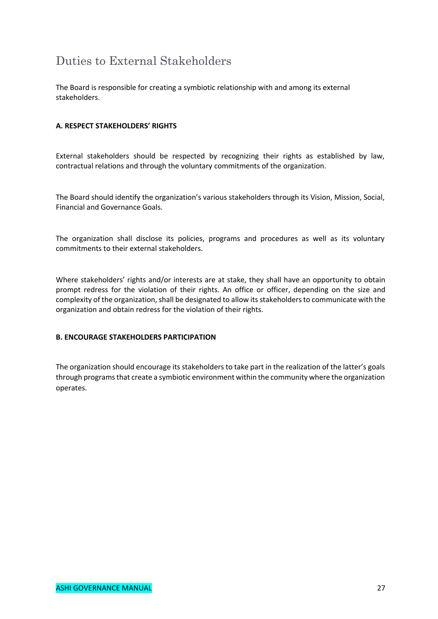# Duties to External Stakeholders

The Board is responsible for creating a symbiotic relationship with and among its external stakeholders.

#### **A. RESPECT STAKEHOLDERS' RIGHTS**

External stakeholders should be respected by recognizing their rights as established by law, contractual relations and through the voluntary commitments of the organization.

The Board should identify the organization's various stakeholders through its Vision, Mission, Social, Financial and Governance Goals.

The organization shall disclose its policies, programs and procedures as well as its voluntary commitments to their external stakeholders.

Where stakeholders' rights and/or interests are at stake, they shall have an opportunity to obtain prompt redress for the violation of their rights. An office or officer, depending on the size and complexity of the organization, shall be designated to allow its stakeholders to communicate with the organization and obtain redress for the violation of their rights.

#### **B. ENCOURAGE STAKEHOLDERS PARTICIPATION**

The organization should encourage its stakeholders to take part in the realization of the latter's goals through programs that create a symbiotic environment within the community where the organization operates.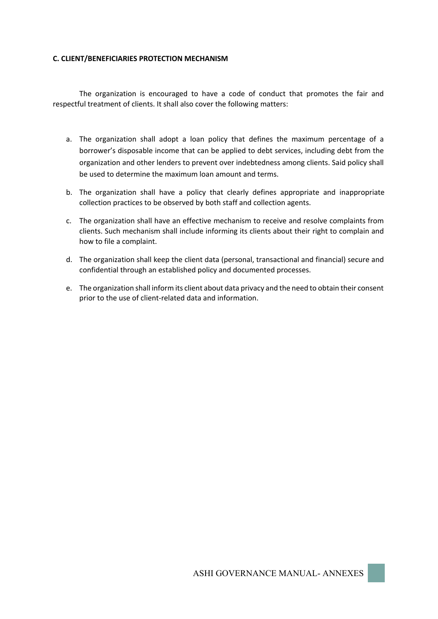#### **C. CLIENT/BENEFICIARIES PROTECTION MECHANISM**

The organization is encouraged to have a code of conduct that promotes the fair and respectful treatment of clients. It shall also cover the following matters:

- a. The organization shall adopt a loan policy that defines the maximum percentage of a borrower's disposable income that can be applied to debt services, including debt from the organization and other lenders to prevent over indebtedness among clients. Said policy shall be used to determine the maximum loan amount and terms.
- b. The organization shall have a policy that clearly defines appropriate and inappropriate collection practices to be observed by both staff and collection agents.
- c. The organization shall have an effective mechanism to receive and resolve complaints from clients. Such mechanism shall include informing its clients about their right to complain and how to file a complaint.
- d. The organization shall keep the client data (personal, transactional and financial) secure and confidential through an established policy and documented processes.
- e. The organization shall inform its client about data privacy and the need to obtain their consent prior to the use of client-related data and information.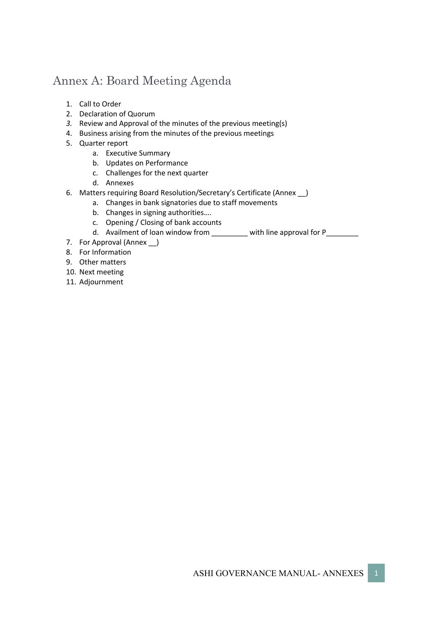# Annex A: Board Meeting Agenda

- 1. Call to Order
- 2. Declaration of Quorum
- *3.* Review and Approval of the minutes of the previous meeting(s)
- 4. Business arising from the minutes of the previous meetings
- 5. Quarter report
	- a. Executive Summary
	- b. Updates on Performance
	- c. Challenges for the next quarter
	- d. Annexes
- 6. Matters requiring Board Resolution/Secretary's Certificate (Annex \_\_)
	- a. Changes in bank signatories due to staff movements
	- b. Changes in signing authorities….
	- c. Opening / Closing of bank accounts
	- d. Availment of loan window from \_\_\_\_\_\_\_\_ with line approval for P\_\_\_\_\_\_\_\_
- 7. For Approval (Annex \_)
- 8. For Information
- 9. Other matters
- 10. Next meeting
- 11. Adjournment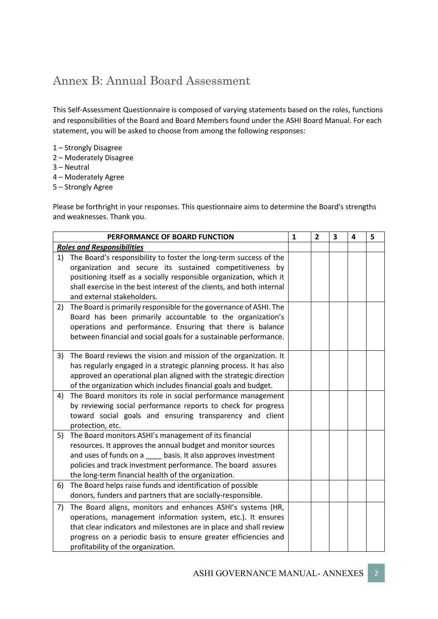# Annex B: Annual Board Assessment

This Self-Assessment Questionnaire is composed of varying statements based on the roles, functions and responsibilities of the Board and Board Members found under the ASHI Board Manual. For each statement, you will be asked to choose from among the following responses:

- 1 Strongly Disagree
- 2 Moderately Disagree
- 3 Neutral
- 4 Moderately Agree
- 5 Strongly Agree

Please be forthright in your responses. This questionnaire aims to determine the Board's strengths and weaknesses. Thank you.

|    | PERFORMANCE OF BOARD FUNCTION                                                                       |  | 2 | 3 | 4 | 5 |
|----|-----------------------------------------------------------------------------------------------------|--|---|---|---|---|
|    | <b>Roles and Responsibilities</b>                                                                   |  |   |   |   |   |
| 1) | The Board's responsibility to foster the long-term success of the                                   |  |   |   |   |   |
|    | organization and secure its sustained competitiveness by                                            |  |   |   |   |   |
|    | positioning itself as a socially responsible organization, which it                                 |  |   |   |   |   |
|    | shall exercise in the best interest of the clients, and both internal<br>and external stakeholders. |  |   |   |   |   |
| 2) | The Board is primarily responsible for the governance of ASHI. The                                  |  |   |   |   |   |
|    | Board has been primarily accountable to the organization's                                          |  |   |   |   |   |
|    | operations and performance. Ensuring that there is balance                                          |  |   |   |   |   |
|    | between financial and social goals for a sustainable performance.                                   |  |   |   |   |   |
|    |                                                                                                     |  |   |   |   |   |
| 3) | The Board reviews the vision and mission of the organization. It                                    |  |   |   |   |   |
|    | has regularly engaged in a strategic planning process. It has also                                  |  |   |   |   |   |
|    | approved an operational plan aligned with the strategic direction                                   |  |   |   |   |   |
|    | of the organization which includes financial goals and budget.                                      |  |   |   |   |   |
| 4) | The Board monitors its role in social performance management                                        |  |   |   |   |   |
|    | by reviewing social performance reports to check for progress                                       |  |   |   |   |   |
|    | toward social goals and ensuring transparency and client                                            |  |   |   |   |   |
|    | protection, etc.                                                                                    |  |   |   |   |   |
| 5) | The Board monitors ASHI's management of its financial                                               |  |   |   |   |   |
|    | resources. It approves the annual budget and monitor sources                                        |  |   |   |   |   |
|    | and uses of funds on a _____ basis. It also approves investment                                     |  |   |   |   |   |
|    | policies and track investment performance. The board assures                                        |  |   |   |   |   |
|    | the long-term financial health of the organization.                                                 |  |   |   |   |   |
| 6) | The Board helps raise funds and identification of possible                                          |  |   |   |   |   |
|    | donors, funders and partners that are socially-responsible.                                         |  |   |   |   |   |
| 7) | The Board aligns, monitors and enhances ASHI's systems (HR,                                         |  |   |   |   |   |
|    | operations, management information system, etc.). It ensures                                        |  |   |   |   |   |
|    | that clear indicators and milestones are in place and shall review                                  |  |   |   |   |   |
|    | progress on a periodic basis to ensure greater efficiencies and                                     |  |   |   |   |   |
|    | profitability of the organization.                                                                  |  |   |   |   |   |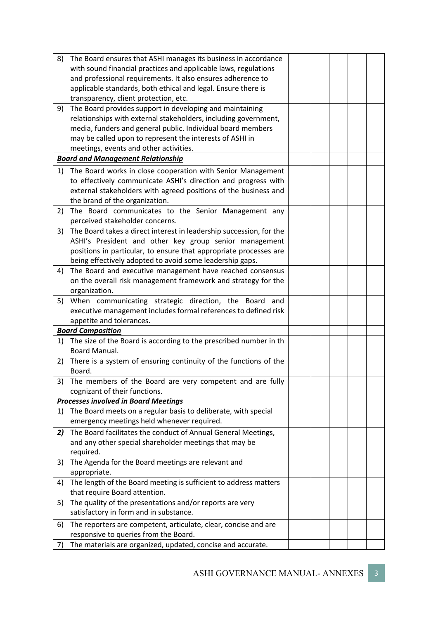| 8) | The Board ensures that ASHI manages its business in accordance       |  |  |  |
|----|----------------------------------------------------------------------|--|--|--|
|    | with sound financial practices and applicable laws, regulations      |  |  |  |
|    |                                                                      |  |  |  |
|    | and professional requirements. It also ensures adherence to          |  |  |  |
|    | applicable standards, both ethical and legal. Ensure there is        |  |  |  |
|    | transparency, client protection, etc.                                |  |  |  |
| 9) | The Board provides support in developing and maintaining             |  |  |  |
|    | relationships with external stakeholders, including government,      |  |  |  |
|    | media, funders and general public. Individual board members          |  |  |  |
|    | may be called upon to represent the interests of ASHI in             |  |  |  |
|    | meetings, events and other activities.                               |  |  |  |
|    | <b>Board and Management Relationship</b>                             |  |  |  |
| 1) | The Board works in close cooperation with Senior Management          |  |  |  |
|    |                                                                      |  |  |  |
|    | to effectively communicate ASHI's direction and progress with        |  |  |  |
|    | external stakeholders with agreed positions of the business and      |  |  |  |
|    | the brand of the organization.                                       |  |  |  |
| 2) | The Board communicates to the Senior Management any                  |  |  |  |
|    | perceived stakeholder concerns.                                      |  |  |  |
| 3) | The Board takes a direct interest in leadership succession, for the  |  |  |  |
|    | ASHI's President and other key group senior management               |  |  |  |
|    | positions in particular, to ensure that appropriate processes are    |  |  |  |
|    | being effectively adopted to avoid some leadership gaps.             |  |  |  |
| 4) | The Board and executive management have reached consensus            |  |  |  |
|    | on the overall risk management framework and strategy for the        |  |  |  |
|    | organization.                                                        |  |  |  |
| 5) | When communicating strategic direction, the Board and                |  |  |  |
|    | executive management includes formal references to defined risk      |  |  |  |
|    | appetite and tolerances.                                             |  |  |  |
|    | <b>Board Composition</b>                                             |  |  |  |
|    | 1) The size of the Board is according to the prescribed number in th |  |  |  |
|    | Board Manual.                                                        |  |  |  |
|    |                                                                      |  |  |  |
| 2) | There is a system of ensuring continuity of the functions of the     |  |  |  |
|    | Board.                                                               |  |  |  |
|    | 3) The members of the Board are very competent and are fully         |  |  |  |
|    | cognizant of their functions.                                        |  |  |  |
|    | <b>Processes involved in Board Meetings</b>                          |  |  |  |
| 1) | The Board meets on a regular basis to deliberate, with special       |  |  |  |
|    | emergency meetings held whenever required.                           |  |  |  |
| 2) | The Board facilitates the conduct of Annual General Meetings,        |  |  |  |
|    | and any other special shareholder meetings that may be               |  |  |  |
|    | required.                                                            |  |  |  |
| 3) | The Agenda for the Board meetings are relevant and                   |  |  |  |
|    | appropriate.                                                         |  |  |  |
| 4) | The length of the Board meeting is sufficient to address matters     |  |  |  |
|    | that require Board attention.                                        |  |  |  |
| 5) | The quality of the presentations and/or reports are very             |  |  |  |
|    | satisfactory in form and in substance.                               |  |  |  |
|    |                                                                      |  |  |  |
| 6) | The reporters are competent, articulate, clear, concise and are      |  |  |  |
|    | responsive to queries from the Board.                                |  |  |  |
| 7) | The materials are organized, updated, concise and accurate.          |  |  |  |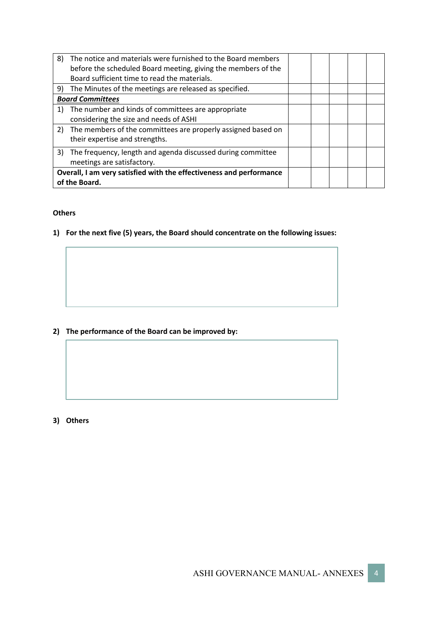| 8) | The notice and materials were furnished to the Board members<br>before the scheduled Board meeting, giving the members of the<br>Board sufficient time to read the materials. |  |  |  |  |
|----|-------------------------------------------------------------------------------------------------------------------------------------------------------------------------------|--|--|--|--|
|    | 9) The Minutes of the meetings are released as specified.                                                                                                                     |  |  |  |  |
|    | <b>Board Committees</b>                                                                                                                                                       |  |  |  |  |
| 1) | The number and kinds of committees are appropriate<br>considering the size and needs of ASHI                                                                                  |  |  |  |  |
|    | 2) The members of the committees are properly assigned based on<br>their expertise and strengths.                                                                             |  |  |  |  |
| 3) | The frequency, length and agenda discussed during committee<br>meetings are satisfactory.                                                                                     |  |  |  |  |
|    | Overall, I am very satisfied with the effectiveness and performance<br>of the Board.                                                                                          |  |  |  |  |

#### **Others**

**1) For the next five (5) years, the Board should concentrate on the following issues:**

### **2) The performance of the Board can be improved by:**

**3) Others**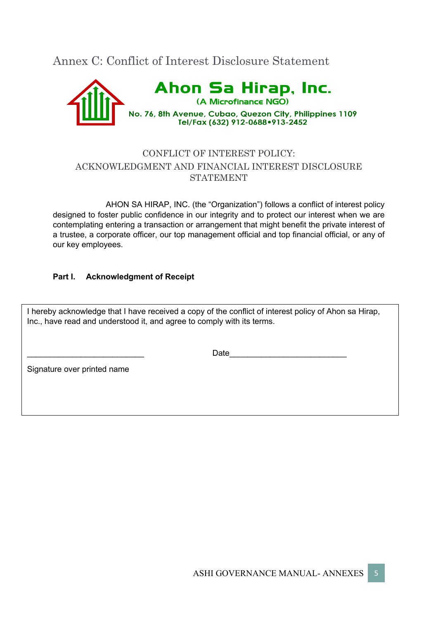Annex C: Conflict of Interest Disclosure Statement



# CONFLICT OF INTEREST POLICY: ACKNOWLEDGMENT AND FINANCIAL INTEREST DISCLOSURE STATEMENT

AHON SA HIRAP, INC. (the "Organization") follows a conflict of interest policy designed to foster public confidence in our integrity and to protect our interest when we are contemplating entering a transaction or arrangement that might benefit the private interest of a trustee, a corporate officer, our top management official and top financial official, or any of our key employees.

### **Part I. Acknowledgment of Receipt**

I hereby acknowledge that I have received a copy of the conflict of interest policy of Ahon sa Hirap, Inc., have read and understood it, and agree to comply with its terms.

\_\_\_\_\_\_\_\_\_\_\_\_\_\_\_\_\_\_\_\_\_\_\_\_\_\_ Date\_\_\_\_\_\_\_\_\_\_\_\_\_\_\_\_\_\_\_\_\_\_\_\_\_\_

Signature over printed name